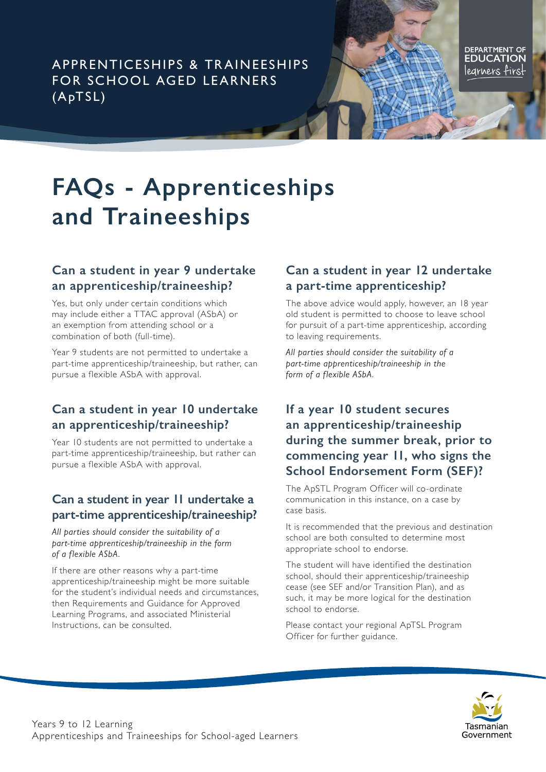APPRENTICESHIPS & TR AINEESHIPS FOR SCHOOL AGED LEARNERS (ApTSL)

**DEPARTMENT OF EDUCATION** legrners firs<del>l</del>

# **FAQs - Apprenticeships and Traineeships**

#### **Can a student in year 9 undertake an apprenticeship/traineeship?**

Yes, but only under certain conditions which may include either a TTAC approval (ASbA) or an exemption from attending school or a combination of both (full-time).

Year 9 students are not permitted to undertake a part-time apprenticeship/traineeship, but rather, can pursue a flexible ASbA with approval.

#### **Can a student in year 10 undertake an apprenticeship/traineeship?**

Year 10 students are not permitted to undertake a part-time apprenticeship/traineeship, but rather can pursue a flexible ASbA with approval.

#### **Can a student in year 11 undertake a part-time apprenticeship/traineeship?**

*All parties should consider the suitability of a part-time apprenticeship/traineeship in the form of a flexible ASbA.* 

If there are other reasons why a part-time apprenticeship/traineeship might be more suitable for the student's individual needs and circumstances, then Requirements and Guidance for Approved Learning Programs, and associated Ministerial Instructions, can be consulted.

#### **Can a student in year 12 undertake a part-time apprenticeship?**

The above advice would apply, however, an 18 year old student is permitted to choose to leave school for pursuit of a part-time apprenticeship, according to leaving requirements.

*All parties should consider the suitability of a part-time apprenticeship/traineeship in the form of a flexible ASbA.* 

# **If a year 10 student secures an apprenticeship/traineeship during the summer break, prior to commencing year 11, who signs the School Endorsement Form (SEF)?**

The ApSTL Program Officer will co-ordinate communication in this instance, on a case by case basis.

It is recommended that the previous and destination school are both consulted to determine most appropriate school to endorse.

The student will have identified the destination school, should their apprenticeship/traineeship cease (see SEF and/or Transition Plan), and as such, it may be more logical for the destination school to endorse.

Please contact your regional ApTSL Program Officer for further guidance.

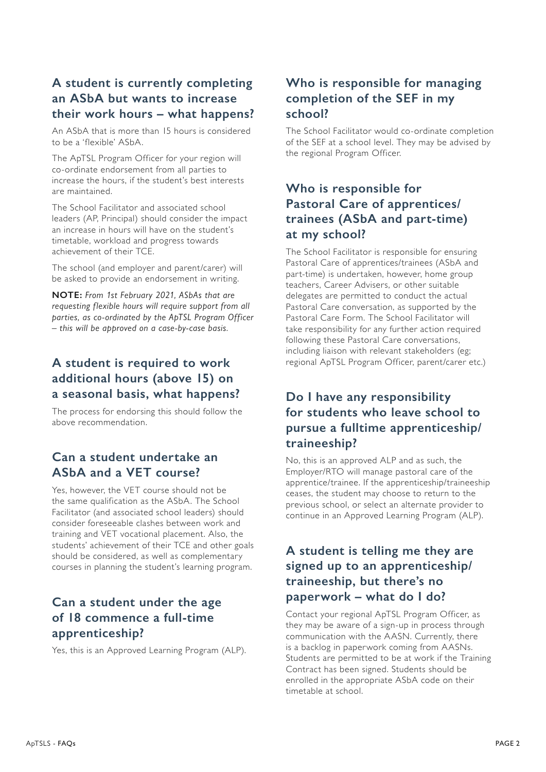## **A student is currently completing an ASbA but wants to increase their work hours – what happens?**

An ASbA that is more than 15 hours is considered to be a 'flexible' ASbA.

The ApTSL Program Officer for your region will co-ordinate endorsement from all parties to increase the hours, if the student's best interests are maintained.

The School Facilitator and associated school leaders (AP, Principal) should consider the impact an increase in hours will have on the student's timetable, workload and progress towards achievement of their TCE.

The school (and employer and parent/carer) will be asked to provide an endorsement in writing.

**NOTE:** *From 1st February 2021, ASbAs that are requesting flexible hours will require support from all parties, as co-ordinated by the ApTSL Program Officer – this will be approved on a case-by-case basis.* 

# **A student is required to work additional hours (above 15) on a seasonal basis, what happens?**

The process for endorsing this should follow the above recommendation.

#### **Can a student undertake an ASbA and a VET course?**

Yes, however, the VET course should not be the same qualification as the ASbA. The School Facilitator (and associated school leaders) should consider foreseeable clashes between work and training and VET vocational placement. Also, the students' achievement of their TCE and other goals should be considered, as well as complementary courses in planning the student's learning program.

# **Can a student under the age of 18 commence a full-time apprenticeship?**

Yes, this is an Approved Learning Program (ALP).

# **Who is responsible for managing completion of the SEF in my school?**

The School Facilitator would co-ordinate completion of the SEF at a school level. They may be advised by the regional Program Officer.

# **Who is responsible for Pastoral Care of apprentices/ trainees (ASbA and part-time) at my school?**

The School Facilitator is responsible for ensuring Pastoral Care of apprentices/trainees (ASbA and part-time) is undertaken, however, home group teachers, Career Advisers, or other suitable delegates are permitted to conduct the actual Pastoral Care conversation, as supported by the Pastoral Care Form. The School Facilitator will take responsibility for any further action required following these Pastoral Care conversations, including liaison with relevant stakeholders (eg; regional ApTSL Program Officer, parent/carer etc.)

## **Do I have any responsibility for students who leave school to pursue a fulltime apprenticeship/ traineeship?**

No, this is an approved ALP and as such, the Employer/RTO will manage pastoral care of the apprentice/trainee. If the apprenticeship/traineeship ceases, the student may choose to return to the previous school, or select an alternate provider to continue in an Approved Learning Program (ALP).

#### **A student is telling me they are signed up to an apprenticeship/ traineeship, but there's no paperwork – what do I do?**

Contact your regional ApTSL Program Officer, as they may be aware of a sign-up in process through communication with the AASN. Currently, there is a backlog in paperwork coming from AASNs. Students are permitted to be at work if the Training Contract has been signed. Students should be enrolled in the appropriate ASbA code on their timetable at school.